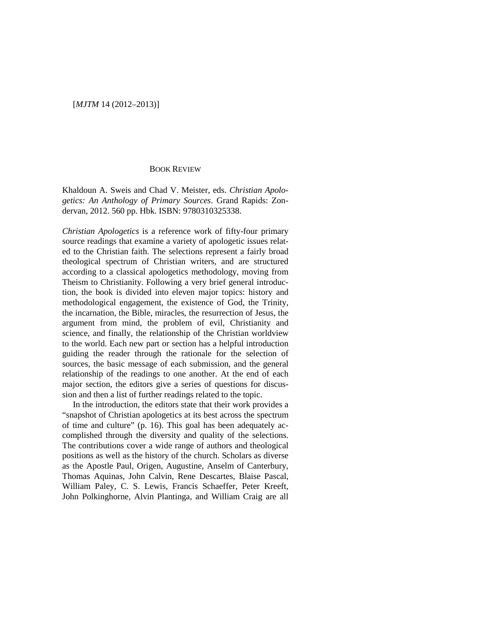## [*MJTM* 14 (2012–2013)]

## BOOK REVIEW

Khaldoun A. Sweis and Chad V. Meister, eds. *Christian Apologetics: An Anthology of Primary Sources*. Grand Rapids: Zondervan, 2012. 560 pp. Hbk. ISBN: 9780310325338.

*Christian Apologetics* is a reference work of fifty-four primary source readings that examine a variety of apologetic issues related to the Christian faith. The selections represent a fairly broad theological spectrum of Christian writers, and are structured according to a classical apologetics methodology, moving from Theism to Christianity. Following a very brief general introduction, the book is divided into eleven major topics: history and methodological engagement, the existence of God, the Trinity, the incarnation, the Bible, miracles, the resurrection of Jesus, the argument from mind, the problem of evil, Christianity and science, and finally, the relationship of the Christian worldview to the world. Each new part or section has a helpful introduction guiding the reader through the rationale for the selection of sources, the basic message of each submission, and the general relationship of the readings to one another. At the end of each major section, the editors give a series of questions for discussion and then a list of further readings related to the topic.

In the introduction, the editors state that their work provides a "snapshot of Christian apologetics at its best across the spectrum of time and culture" (p. 16). This goal has been adequately accomplished through the diversity and quality of the selections. The contributions cover a wide range of authors and theological positions as well as the history of the church. Scholars as diverse as the Apostle Paul, Origen, Augustine, Anselm of Canterbury, Thomas Aquinas, John Calvin, Rene Descartes, Blaise Pascal, William Paley, C. S. Lewis, Francis Schaeffer, Peter Kreeft, John Polkinghorne, Alvin Plantinga, and William Craig are all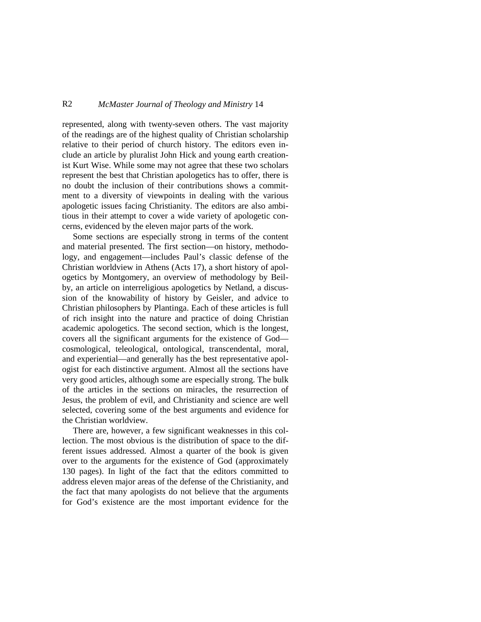## R2 *McMaster Journal of Theology and Ministry* 14

represented, along with twenty-seven others. The vast majority of the readings are of the highest quality of Christian scholarship relative to their period of church history. The editors even include an article by pluralist John Hick and young earth creationist Kurt Wise. While some may not agree that these two scholars represent the best that Christian apologetics has to offer, there is no doubt the inclusion of their contributions shows a commitment to a diversity of viewpoints in dealing with the various apologetic issues facing Christianity. The editors are also ambitious in their attempt to cover a wide variety of apologetic concerns, evidenced by the eleven major parts of the work.

Some sections are especially strong in terms of the content and material presented. The first section—on history, methodology, and engagement—includes Paul's classic defense of the Christian worldview in Athens (Acts 17), a short history of apologetics by Montgomery, an overview of methodology by Beilby, an article on interreligious apologetics by Netland, a discussion of the knowability of history by Geisler, and advice to Christian philosophers by Plantinga. Each of these articles is full of rich insight into the nature and practice of doing Christian academic apologetics. The second section, which is the longest, covers all the significant arguments for the existence of God cosmological, teleological, ontological, transcendental, moral, and experiential—and generally has the best representative apologist for each distinctive argument. Almost all the sections have very good articles, although some are especially strong. The bulk of the articles in the sections on miracles, the resurrection of Jesus, the problem of evil, and Christianity and science are well selected, covering some of the best arguments and evidence for the Christian worldview.

There are, however, a few significant weaknesses in this collection. The most obvious is the distribution of space to the different issues addressed. Almost a quarter of the book is given over to the arguments for the existence of God (approximately 130 pages). In light of the fact that the editors committed to address eleven major areas of the defense of the Christianity, and the fact that many apologists do not believe that the arguments for God's existence are the most important evidence for the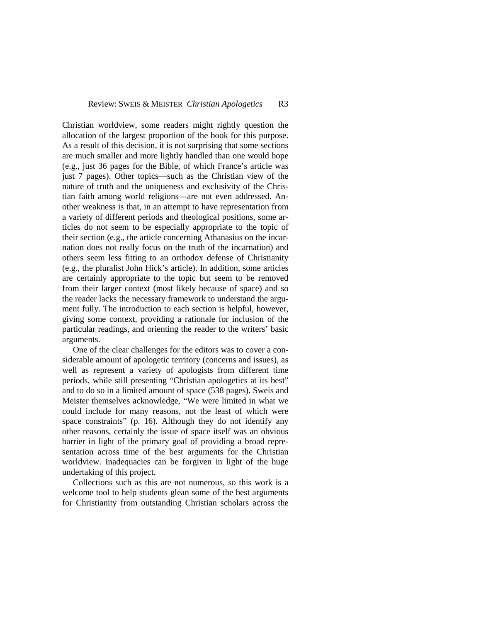Christian worldview, some readers might rightly question the allocation of the largest proportion of the book for this purpose. As a result of this decision, it is not surprising that some sections are much smaller and more lightly handled than one would hope (e.g., just 36 pages for the Bible, of which France's article was just 7 pages). Other topics—such as the Christian view of the nature of truth and the uniqueness and exclusivity of the Christian faith among world religions—are not even addressed. Another weakness is that, in an attempt to have representation from a variety of different periods and theological positions, some articles do not seem to be especially appropriate to the topic of their section (e.g., the article concerning Athanasius on the incarnation does not really focus on the truth of the incarnation) and others seem less fitting to an orthodox defense of Christianity (e.g., the pluralist John Hick's article). In addition, some articles are certainly appropriate to the topic but seem to be removed from their larger context (most likely because of space) and so the reader lacks the necessary framework to understand the argument fully. The introduction to each section is helpful, however, giving some context, providing a rationale for inclusion of the particular readings, and orienting the reader to the writers' basic arguments.

One of the clear challenges for the editors was to cover a considerable amount of apologetic territory (concerns and issues), as well as represent a variety of apologists from different time periods, while still presenting "Christian apologetics at its best" and to do so in a limited amount of space (538 pages). Sweis and Meister themselves acknowledge, "We were limited in what we could include for many reasons, not the least of which were space constraints" (p. 16). Although they do not identify any other reasons, certainly the issue of space itself was an obvious barrier in light of the primary goal of providing a broad representation across time of the best arguments for the Christian worldview. Inadequacies can be forgiven in light of the huge undertaking of this project.

Collections such as this are not numerous, so this work is a welcome tool to help students glean some of the best arguments for Christianity from outstanding Christian scholars across the